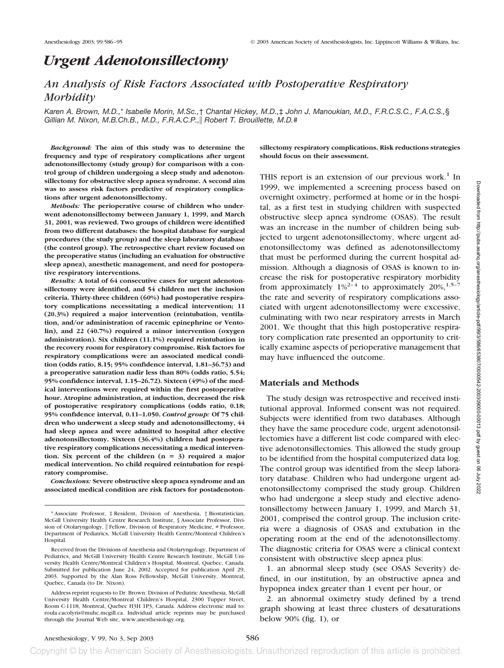# *Urgent Adenotonsillectomy*

# *An Analysis of Risk Factors Associated with Postoperative Respiratory Morbidity*

*Karen A. Brown, M.D.,*\* *Isabelle Morin, M.Sc.,*† *Chantal Hickey, M.D.,*‡ *John J. Manoukian, M.D., F.R.C.S.C., F.A.C.S.,*§ *Gillian M. Nixon, M.B.Ch.B., M.D., F.R.A.C.P., Robert T. Brouillette, M.D.*#

*Background:* **The aim of this study was to determine the frequency and type of respiratory complications after urgent adenotonsillectomy (study group) for comparison with a control group of children undergoing a sleep study and adenotonsillectomy for obstructive sleep apnea syndrome. A second aim was to assess risk factors predictive of respiratory complications after urgent adenotonsillectomy.**

*Methods:* **The perioperative course of children who underwent adenotonsillectomy between January 1, 1999, and March 31, 2001, was reviewed. Two groups of children were identified from two different databases: the hospital database for surgical procedures (the study group) and the sleep laboratory database (the control group). The retrospective chart review focused on the preoperative status (including an evaluation for obstructive sleep apnea), anesthetic management, and need for postoperative respiratory interventions.**

*Results:* **A total of 64 consecutive cases for urgent adenotonsillectomy were identified, and 54 children met the inclusion criteria. Thirty-three children (60%) had postoperative respiratory complications necessitating a medical intervention; 11 (20.3%) required a major intervention (reintubation, ventilation, and/or administration of racemic epinephrine or Ventolin), and 22 (40.7%) required a minor intervention (oxygen administration). Six children (11.1%) required reintubation in the recovery room for respiratory compromise. Risk factors for respiratory complications were an associated medical condition (odds ratio, 8.15; 95% confidence interval, 1.81–36.73) and a preoperative saturation nadir less than 80% (odds ratio, 5.54; 95% confidence interval, 1.15–26.72). Sixteen (49%) of the medical interventions were required within the first postoperative hour. Atropine administration, at induction, decreased the risk of postoperative respiratory complications (odds ratio, 0.18; 95% confidence interval, 0.11–1.050.** *Control group:* **Of 75 children who underwent a sleep study and adenotonsillectomy, 44 had sleep apnea and were admitted to hospital after elective adenotonsillectomy. Sixteen (36.4%) children had postoperative respiratory complications necessitating a medical intervention.** Six percent of the children  $(n = 3)$  required a major **medical intervention. No child required reintubation for respiratory compromise.**

*Conclusions:* **Severe obstructive sleep apnea syndrome and an associated medical condition are risk factors for postadenoton-** **sillectomy respiratory complications. Risk reductions strategies should focus on their assessment.**

THIS report is an extension of our previous work.<sup>1</sup> In 1999, we implemented a screening process based on overnight oximetry, performed at home or in the hospital, as a first test in studying children with suspected obstructive sleep apnea syndrome (OSAS). The result was an increase in the number of children being subjected to urgent adenotonsillectomy, where urgent adenotonsillectomy was defined as adenotonsillectomy that must be performed during the current hospital admission. Although a diagnosis of OSAS is known to increase the risk for postoperative respiratory morbidity from approximately  $1\%^{2-4}$  to approximately  $20\%$ ,<sup>1,5-7</sup> the rate and severity of respiratory complications associated with urgent adenotonsillectomy were excessive, culminating with two near respiratory arrests in March 2001. We thought that this high postoperative respiratory complication rate presented an opportunity to critically examine aspects of perioperative management that may have influenced the outcome.

# **Materials and Methods**

The study design was retrospective and received institutional approval. Informed consent was not required. Subjects were identified from two databases. Although they have the same procedure code, urgent adenotonsillectomies have a different list code compared with elective adenotonsillectomies. This allowed the study group to be identified from the hospital computerized data log. The control group was identified from the sleep laboratory database. Children who had undergone urgent adenotonsillectomy comprised the study group. Children who had undergone a sleep study and elective adenotonsillectomy between January 1, 1999, and March 31, 2001, comprised the control group. The inclusion criteria were a diagnosis of OSAS and extubation in the operating room at the end of the adenotonsillectomy. The diagnostic criteria for OSAS were a clinical context consistent with obstructive sleep apnea plus:

1. an abnormal sleep study (see OSAS Severity) defined, in our institution, by an obstructive apnea and hypopnea index greater than 1 event per hour, or

2. an abnormal oximetry study defined by a trend graph showing at least three clusters of desaturations below 90% (fig. 1), or

<sup>\*</sup> Associate Professor, ‡ Resident, Division of Anesthesia, † Biostatistician, McGill University Health Centre Research Institute, § Associate Professor, Division of Otolaryngology, || Fellow, Division of Respiratory Medicine, # Professor, Department of Pediatrics, McGill University Health Centre/Montreal Children's Hospital.

Received from the Divisions of Anesthesia and Otolaryngology, Department of Pediatrics, and McGill University Health Centre Research Institute, McGill University Health Centre/Montreal Children's Hospital, Montreal, Quebec, Canada. Submitted for publication June 24, 2002. Accepted for publication April 29, 2003. Supported by the Alan Ross Fellowship, McGill University, Montreal, Quebec, Canada (to Dr. Nixon).

Address reprint requests to Dr. Brown: Division of Pediatric Anesthesia, McGill University Health Centre/Montreal Children's Hospital, 2300 Tupper Street, Room C-1118, Montreal, Quebec H3H 1P3, Canada. Address electronic mail to: roula.cacolyris@muhc.mcgill.ca. Individual article reprints may be purchased through the Journal Web site, www.anesthesiology.org.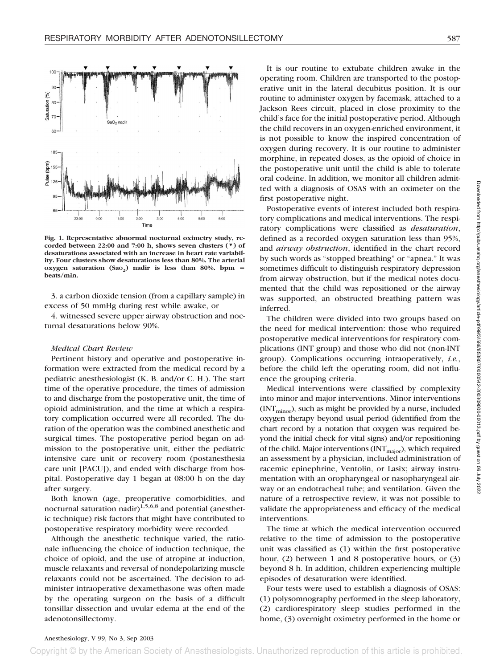

**Fig. 1. Representative abnormal nocturnal oximetry study, recorded between 22:00 and 7:00 h, shows seven clusters (**'**) of desaturations associated with an increase in heart rate variability. Four clusters show desaturations less than 80%. The arterial** oxygen saturation  $(Sao_2)$  nadir is less than 80%. bpm = **beats/min.**

3. a carbon dioxide tension (from a capillary sample) in excess of 50 mmHg during rest while awake, or

4. witnessed severe upper airway obstruction and nocturnal desaturations below 90%.

#### *Medical Chart Review*

Pertinent history and operative and postoperative information were extracted from the medical record by a pediatric anesthesiologist (K. B. and/or C. H.). The start time of the operative procedure, the times of admission to and discharge from the postoperative unit, the time of opioid administration, and the time at which a respiratory complication occurred were all recorded. The duration of the operation was the combined anesthetic and surgical times. The postoperative period began on admission to the postoperative unit, either the pediatric intensive care unit or recovery room (postanesthesia care unit [PACU]), and ended with discharge from hospital. Postoperative day 1 began at 08:00 h on the day after surgery.

Both known (age, preoperative comorbidities, and nocturnal saturation nadir $1,5,6,8$  and potential (anesthetic technique) risk factors that might have contributed to postoperative respiratory morbidity were recorded.

Although the anesthetic technique varied, the rationale influencing the choice of induction technique, the choice of opioid, and the use of atropine at induction, muscle relaxants and reversal of nondepolarizing muscle relaxants could not be ascertained. The decision to administer intraoperative dexamethasone was often made by the operating surgeon on the basis of a difficult tonsillar dissection and uvular edema at the end of the adenotonsillectomy.

It is our routine to extubate children awake in the operating room. Children are transported to the postoperative unit in the lateral decubitus position. It is our routine to administer oxygen by facemask, attached to a Jackson Rees circuit, placed in close proximity to the child's face for the initial postoperative period. Although the child recovers in an oxygen-enriched environment, it is not possible to know the inspired concentration of oxygen during recovery. It is our routine to administer morphine, in repeated doses, as the opioid of choice in the postoperative unit until the child is able to tolerate oral codeine. In addition, we monitor all children admitted with a diagnosis of OSAS with an oximeter on the first postoperative night.

Postoperative events of interest included both respiratory complications and medical interventions. The respiratory complications were classified as *desaturation*, defined as a recorded oxygen saturation less than 95%, and *airway obstruction*, identified in the chart record by such words as "stopped breathing" or "apnea." It was sometimes difficult to distinguish respiratory depression from airway obstruction, but if the medical notes documented that the child was repositioned or the airway was supported, an obstructed breathing pattern was inferred.

The children were divided into two groups based on the need for medical intervention: those who required postoperative medical interventions for respiratory complications (INT group) and those who did not (non-INT group). Complications occurring intraoperatively, *i.e.*, before the child left the operating room, did not influence the grouping criteria.

Medical interventions were classified by complexity into minor and major interventions. Minor interventions  $(INT<sub>minor</sub>)$ , such as might be provided by a nurse, included oxygen therapy beyond usual period (identified from the chart record by a notation that oxygen was required beyond the initial check for vital signs) and/or repositioning of the child. Major interventions  $(INT<sub>major</sub>)$ , which required an assessment by a physician, included administration of racemic epinephrine, Ventolin, or Lasix; airway instrumentation with an oropharyngeal or nasopharyngeal airway or an endotracheal tube; and ventilation. Given the nature of a retrospective review, it was not possible to validate the appropriateness and efficacy of the medical interventions.

The time at which the medical intervention occurred relative to the time of admission to the postoperative unit was classified as (1) within the first postoperative hour, (2) between 1 and 8 postoperative hours, or (3) beyond 8 h. In addition, children experiencing multiple episodes of desaturation were identified.

Four tests were used to establish a diagnosis of OSAS: (1) polysomnography performed in the sleep laboratory, (2) cardiorespiratory sleep studies performed in the home, (3) overnight oximetry performed in the home or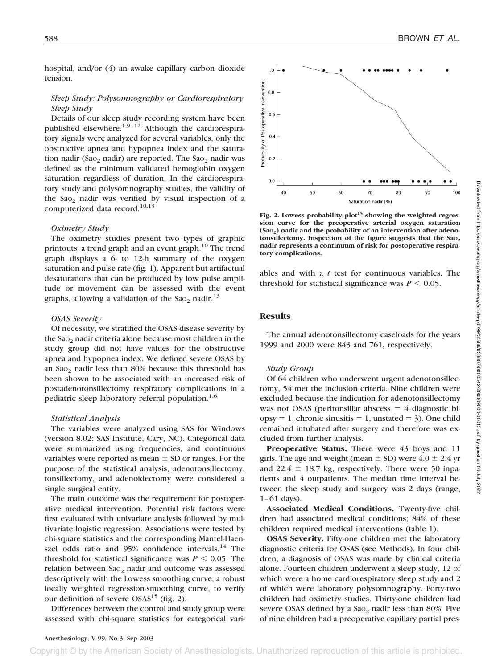hospital, and/or (4) an awake capillary carbon dioxide tension.

# *Sleep Study: Polysomnography or Cardiorespiratory Sleep Study*

Details of our sleep study recording system have been published elsewhere.<sup>1,9-12</sup> Although the cardiorespiratory signals were analyzed for several variables, only the obstructive apnea and hypopnea index and the saturation nadir (Sao<sub>2</sub> nadir) are reported. The Sao<sub>2</sub> nadir was defined as the minimum validated hemoglobin oxygen saturation regardless of duration. In the cardiorespiratory study and polysomnography studies, the validity of the  $Sao<sub>2</sub>$  nadir was verified by visual inspection of a computerized data record.<sup>10,13</sup>

#### *Oximetry Study*

The oximetry studies present two types of graphic printouts: a trend graph and an event graph.<sup>10</sup> The trend graph displays a 6- to 12-h summary of the oxygen saturation and pulse rate (fig. 1). Apparent but artifactual desaturations that can be produced by low pulse amplitude or movement can be assessed with the event graphs, allowing a validation of the Sao<sub>2</sub> nadir.<sup>13</sup>

#### *OSAS Severity*

Of necessity, we stratified the OSAS disease severity by the Sao<sub>2</sub> nadir criteria alone because most children in the study group did not have values for the obstructive apnea and hypopnea index. We defined severe OSAS by an  $Sao<sub>2</sub>$  nadir less than  $80%$  because this threshold has been shown to be associated with an increased risk of postadenotonsillectomy respiratory complications in a pediatric sleep laboratory referral population.<sup>1,6</sup>

#### *Statistical Analysis*

The variables were analyzed using SAS for Windows (version 8.02; SAS Institute, Cary, NC). Categorical data were summarized using frequencies, and continuous variables were reported as mean  $\pm$  SD or ranges. For the purpose of the statistical analysis, adenotonsillectomy, tonsillectomy, and adenoidectomy were considered a single surgical entity.

The main outcome was the requirement for postoperative medical intervention. Potential risk factors were first evaluated with univariate analysis followed by multivariate logistic regression. Associations were tested by chi-square statistics and the corresponding Mantel-Haenszel odds ratio and  $95\%$  confidence intervals.<sup>14</sup> The threshold for statistical significance was  $P \leq 0.05$ . The relation between Sao<sub>2</sub> nadir and outcome was assessed descriptively with the Lowess smoothing curve, a robust locally weighted regression-smoothing curve, to verify our definition of severe  $OSAS<sup>15</sup>$  (fig. 2).

Differences between the control and study group were assessed with chi-square statistics for categorical vari-



Fig. 2. Lowess probability plot<sup>15</sup> showing the weighted regres**sion curve for the preoperative arterial oxygen saturation** (Sao<sub>2</sub>) nadir and the probability of an intervention after adenotonsillectomy. Inspection of the figure suggests that the Sao<sub>2</sub> **nadir represents a continuum of risk for postoperative respiratory complications.**

ables and with a *t* test for continuous variables. The threshold for statistical significance was  $P \leq 0.05$ .

#### **Results**

The annual adenotonsillectomy caseloads for the years 1999 and 2000 were 843 and 761, respectively.

#### *Study Group*

Of 64 children who underwent urgent adenotonsillectomy, 54 met the inclusion criteria. Nine children were excluded because the indication for adenotonsillectomy was not OSAS (peritonsillar abscess  $=$  4 diagnostic bi $opsv = 1$ , chronic sinusitis  $= 1$ , unstated  $= 3$ ). One child remained intubated after surgery and therefore was excluded from further analysis.

**Preoperative Status.** There were 43 boys and 11 girls. The age and weight (mean  $\pm$  SD) were 4.0  $\pm$  2.4 yr and 22.4  $\pm$  18.7 kg, respectively. There were 50 inpatients and 4 outpatients. The median time interval between the sleep study and surgery was 2 days (range, 1–61 days).

**Associated Medical Conditions.** Twenty-five children had associated medical conditions; 84% of these children required medical interventions (table 1).

**OSAS Severity.** Fifty-one children met the laboratory diagnostic criteria for OSAS (see Methods). In four children, a diagnosis of OSAS was made by clinical criteria alone. Fourteen children underwent a sleep study, 12 of which were a home cardiorespiratory sleep study and 2 of which were laboratory polysomnography. Forty-two children had oximetry studies. Thirty-one children had severe OSAS defined by a  $Sao<sub>2</sub>$  nadir less than 80%. Five of nine children had a preoperative capillary partial pres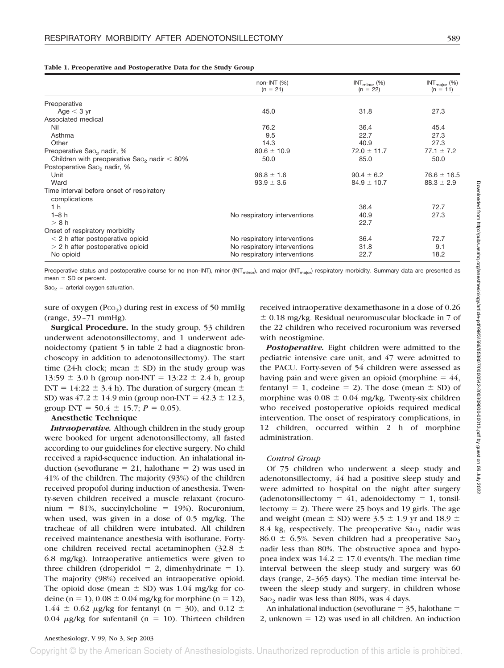**Table 1. Preoperative and Postoperative Data for the Study Group**

|                                                            | non-INT $(%)$<br>$(n = 21)$  | $INT_{minor}$ (%)<br>$(n = 22)$ | $INT_{\text{major}} (\%)$<br>$(n = 11)$ |
|------------------------------------------------------------|------------------------------|---------------------------------|-----------------------------------------|
| Preoperative                                               |                              |                                 |                                         |
| Age $<$ 3 yr                                               | 45.0                         | 31.8                            | 27.3                                    |
| Associated medical                                         |                              |                                 |                                         |
| Nil                                                        | 76.2                         | 36.4                            | 45.4                                    |
| Asthma                                                     | 9.5                          | 22.7                            | 27.3                                    |
| Other                                                      | 14.3                         | 40.9                            | 27.3                                    |
| Preoperative Sao <sub>2</sub> nadir, %                     | $80.6 \pm 10.9$              | $72.0 \pm 11.7$                 | $77.1 \pm 7.2$                          |
| Children with preoperative Sao <sub>2</sub> nadir $< 80\%$ | 50.0                         | 85.0                            | 50.0                                    |
| Postoperative Sao <sub>2</sub> nadir, %                    |                              |                                 |                                         |
| Unit                                                       | $96.8 \pm 1.6$               | $90.4 \pm 6.2$                  | $76.6 \pm 16.5$                         |
| Ward                                                       | $93.9 \pm 3.6$               | $84.9 \pm 10.7$                 | $88.3 \pm 2.9$                          |
| Time interval before onset of respiratory<br>complications |                              |                                 |                                         |
| 1 <sub>h</sub>                                             |                              | 36.4                            | 72.7                                    |
| $1-8$ h                                                    | No respiratory interventions | 40.9                            | 27.3                                    |
| > 8 h                                                      |                              | 22.7                            |                                         |
| Onset of respiratory morbidity                             |                              |                                 |                                         |
| $<$ 2 h after postoperative opioid                         | No respiratory interventions | 36.4                            | 72.7                                    |
| $>$ 2 h after postoperative opioid                         | No respiratory interventions | 31.8                            | 9.1                                     |
| No opioid                                                  | No respiratory interventions | 22.7                            | 18.2                                    |

Preoperative status and postoperative course for no (non-INT), minor (INT<sub>minor</sub>), and major (INT<sub>major</sub>) respiratory morbidity. Summary data are presented as mean  $\pm$  SD or percent.

 $Sao<sub>2</sub> =$  arterial oxygen saturation.

sure of oxygen  $(Pco<sub>2</sub>)$  during rest in excess of 50 mmHg (range, 39–71 mmHg).

**Surgical Procedure.** In the study group, 53 children underwent adenotonsillectomy, and 1 underwent adenoidectomy (patient 5 in table 2 had a diagnostic bronchoscopy in addition to adenotonsillectomy). The start time (24-h clock; mean  $\pm$  SD) in the study group was  $13:59 \pm 3.0$  h (group non-INT =  $13:22 \pm 2.4$  h, group INT = 14:22  $\pm$  3.4 h). The duration of surgery (mean  $\pm$ SD) was  $47.2 \pm 14.9$  min (group non-INT =  $42.3 \pm 12.3$ , group INT = 50.4  $\pm$  15.7; *P* = 0.05).

#### **Anesthetic Technique**

*Intraoperative.* Although children in the study group were booked for urgent adenotonsillectomy, all fasted according to our guidelines for elective surgery. No child received a rapid-sequence induction. An inhalational induction (sevoflurane  $= 21$ , halothane  $= 2$ ) was used in 41% of the children. The majority (93%) of the children received propofol during induction of anesthesia. Twenty-seven children received a muscle relaxant (rocuronium  $= 81\%$ , succinylcholine  $= 19\%$ ). Rocuronium, when used, was given in a dose of 0.5 mg/kg. The tracheae of all children were intubated. All children received maintenance anesthesia with isoflurane. Fortyone children received rectal acetaminophen (32.8  $\pm$ 6.8 mg/kg). Intraoperative antiemetics were given to three children (droperidol  $= 2$ , dimenhydrinate  $= 1$ ). The majority (98%) received an intraoperative opioid. The opioid dose (mean  $\pm$  SD) was 1.04 mg/kg for codeine (n = 1),  $0.08 \pm 0.04$  mg/kg for morphine (n = 12),  $1.44 \pm 0.62$  µg/kg for fentanyl (n = 30), and 0.12  $\pm$ 0.04  $\mu$ g/kg for sufentanil (n = 10). Thirteen children

received intraoperative dexamethasone in a dose of 0.26  $\pm$  0.18 mg/kg. Residual neuromuscular blockade in 7 of the 22 children who received rocuronium was reversed with neostigmine.

*Postoperative.* Eight children were admitted to the pediatric intensive care unit, and 47 were admitted to the PACU. Forty-seven of 54 children were assessed as having pain and were given an opioid (morphine  $= 44$ , fentanyl = 1, codeine = 2). The dose (mean  $\pm$  SD) of morphine was  $0.08 \pm 0.04$  mg/kg. Twenty-six children who received postoperative opioids required medical intervention. The onset of respiratory complications, in 12 children, occurred within 2 h of morphine administration.

# *Control Group*

Of 75 children who underwent a sleep study and adenotonsillectomy, 44 had a positive sleep study and were admitted to hospital on the night after surgery (adenotonsillectomy  $= 41$ , adenoidectomy  $= 1$ , tonsillectomy  $= 2$ ). There were 25 boys and 19 girls. The age and weight (mean  $\pm$  SD) were 3.5  $\pm$  1.9 yr and 18.9  $\pm$ 8.4 kg, respectively. The preoperative  $Sao<sub>2</sub>$  nadir was  $86.0 \pm 6.5$ %. Seven children had a preoperative Sao<sub>2</sub> nadir less than 80%. The obstructive apnea and hypopnea index was  $14.2 \pm 17.0$  events/h. The median time interval between the sleep study and surgery was 60 days (range, 2–365 days). The median time interval between the sleep study and surgery, in children whose Sao<sub>2</sub> nadir was less than 80%, was 4 days.

An inhalational induction (sevoflurane  $=$  35, halothane  $=$ 2, unknown  $= 12$ ) was used in all children. An induction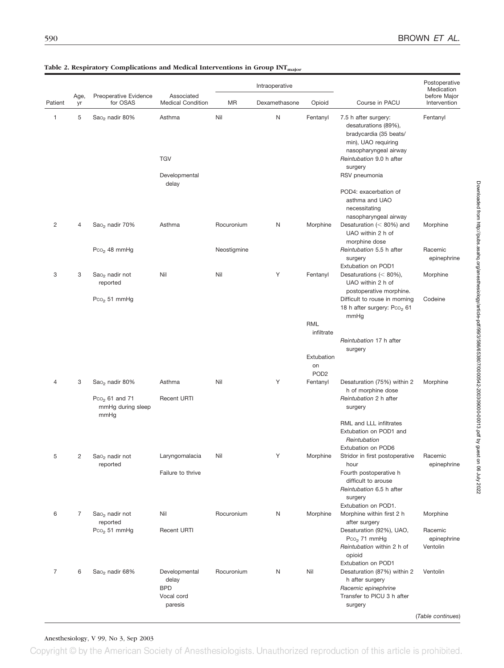|         |                         |                                                          |                                                    |             | Intraoperative |                                      |                                                                                                                           | Postoperative<br>Medication        |
|---------|-------------------------|----------------------------------------------------------|----------------------------------------------------|-------------|----------------|--------------------------------------|---------------------------------------------------------------------------------------------------------------------------|------------------------------------|
| Patient | Age,<br>yr              | Preoperative Evidence<br>for OSAS                        | Associated<br><b>Medical Condition</b>             | <b>MR</b>   | Dexamethasone  | Opioid                               | Course in PACU                                                                                                            | before Major<br>Intervention       |
| 1       | 5                       | Sao <sub>2</sub> nadir 80%                               | Asthma                                             | Nil         | N              | Fentanyl                             | 7.5 h after surgery:<br>desaturations (89%),<br>bradycardia (35 beats/<br>min), UAO requiring<br>nasopharyngeal airway    | Fentanyl                           |
|         |                         |                                                          | <b>TGV</b>                                         |             |                |                                      | Reintubation 9.0 h after<br>surgery                                                                                       |                                    |
|         |                         |                                                          | Developmental<br>delay                             |             |                |                                      | RSV pneumonia<br>POD4: exacerbation of                                                                                    |                                    |
|         |                         |                                                          |                                                    |             |                |                                      | asthma and UAO<br>necessitating<br>nasopharyngeal airway                                                                  |                                    |
| 2       | 4                       | $Sao2$ nadir 70%                                         | Asthma                                             | Rocuronium  | N              | Morphine                             | Desaturation ( $<$ 80%) and<br>UAO within 2 h of<br>morphine dose                                                         | Morphine                           |
|         |                         | Pco <sub>2</sub> 48 mmHg                                 |                                                    | Neostigmine |                |                                      | Reintubation 5.5 h after<br>surgery<br>Extubation on POD1                                                                 | Racemic<br>epinephrine             |
| 3       | 3                       | Sao <sub>2</sub> nadir not<br>reported                   | Nil                                                | Nil         | Υ              | Fentanyl                             | Desaturations $(< 80\%$ ),<br>UAO within 2 h of<br>postoperative morphine.                                                | Morphine                           |
|         |                         | Pco <sub>2</sub> 51 mmHg                                 |                                                    |             |                |                                      | Difficult to rouse in morning<br>18 h after surgery: Pco <sub>2</sub> 61<br>mmHg                                          | Codeine                            |
|         |                         |                                                          |                                                    |             |                | <b>RML</b><br>infiltrate             |                                                                                                                           |                                    |
|         |                         |                                                          |                                                    |             |                |                                      | Reintubation 17 h after<br>surgery                                                                                        |                                    |
|         |                         |                                                          |                                                    |             |                | Extubation<br>on<br>POD <sub>2</sub> |                                                                                                                           |                                    |
| 4       | 3                       | Sao <sub>2</sub> nadir 80%<br>Pco <sub>2</sub> 61 and 71 | Asthma<br><b>Recent URTI</b>                       | Nil         | Υ              | Fentanyl                             | Desaturation (75%) within 2<br>h of morphine dose<br>Reintubation 2 h after                                               | Morphine                           |
|         |                         | mmHg during sleep<br>mmHg                                |                                                    |             |                |                                      | surgery                                                                                                                   |                                    |
|         |                         |                                                          |                                                    |             |                |                                      | RML and LLL infiltrates<br>Extubation on POD1 and<br>Reintubation<br>Extubation on POD6                                   |                                    |
| 5       | $\overline{\mathbf{c}}$ | Sao <sub>2</sub> nadir not<br>reported                   | Laryngomalacia                                     | Nil         | Υ              | Morphine                             | Stridor in first postoperative<br>hour                                                                                    | Racemic<br>epinephrine             |
|         |                         |                                                          | Failure to thrive                                  |             |                |                                      | Fourth postoperative h<br>difficult to arouse<br>Reintubation 6.5 h after<br>surgery                                      |                                    |
| 6       | 7                       | $Sao2$ nadir not<br>reported                             | Nil                                                | Rocuronium  | N              | Morphine                             | Extubation on POD1.<br>Morphine within first 2 h<br>after surgery                                                         | Morphine                           |
|         |                         | Pco <sub>2</sub> 51 mmHg                                 | <b>Recent URTI</b>                                 |             |                |                                      | Desaturation (92%), UAO,<br>$Pco2$ 71 mmHg<br>Reintubation within 2 h of<br>opioid                                        | Racemic<br>epinephrine<br>Ventolin |
| 7       | 6                       | Sao <sub>2</sub> nadir 68%                               | Developmental<br>delay<br><b>BPD</b><br>Vocal cord | Rocuronium  | N              | Nil                                  | Extubation on POD1<br>Desaturation (87%) within 2<br>h after surgery<br>Racemic epinephrine<br>Transfer to PICU 3 h after | Ventolin                           |
|         |                         |                                                          | paresis                                            |             |                |                                      | surgery                                                                                                                   | (Table continues)                  |

# Table 2. Respiratory Complications and Medical Interventions in Group INT<sub>major</sub>

Anesthesiology, V 99, No 3, Sep 2003

Copyright © by the American Society of Anesthesiologists. Unauthorized reproduction of this article is prohibited.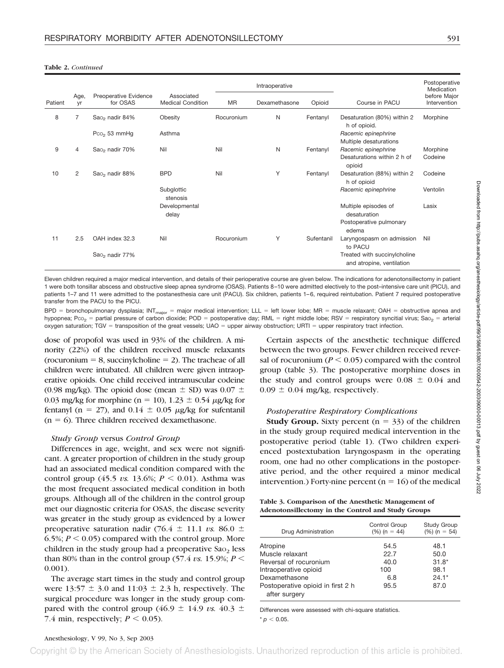#### **Table 2.** *Continued*

|         |                |                                   |                                        |            | Intraoperative |            |                                                           | Postoperative<br>Medication  |
|---------|----------------|-----------------------------------|----------------------------------------|------------|----------------|------------|-----------------------------------------------------------|------------------------------|
| Patient | Age,<br>yr     | Preoperative Evidence<br>for OSAS | Associated<br><b>Medical Condition</b> | <b>MR</b>  | Dexamethasone  | Opioid     | Course in PACU                                            | before Major<br>Intervention |
| 8       | $\overline{7}$ | Sao <sub>2</sub> nadir 84%        | Obesity                                | Rocuronium | N              | Fentanyl   | Desaturation (80%) within 2<br>h of opioid.               | Morphine                     |
|         |                | Pco <sub>2</sub> 53 mmHg          | Asthma                                 |            |                |            | Racemic epinephrine<br>Multiple desaturations             |                              |
| 9       | 4              | Sao <sub>2</sub> nadir 70%        | Nil                                    | Nil        | N              | Fentanyl   | Racemic epinephrine                                       | Morphine                     |
|         |                |                                   |                                        |            |                |            | Desaturations within 2 h of<br>opioid                     | Codeine                      |
| 10      | 2              | Sao <sub>2</sub> nadir 88%        | <b>BPD</b>                             | Nil        | Υ              | Fentanyl   | Desaturation (88%) within 2<br>h of opioid                | Codeine                      |
|         |                |                                   | Subglottic<br>stenosis                 |            |                |            | Racemic epinephrine                                       | Ventolin                     |
|         |                |                                   | Developmental<br>delay                 |            |                |            | Multiple episodes of<br>desaturation                      | Lasix                        |
|         |                |                                   |                                        |            |                |            | Postoperative pulmonary<br>edema                          |                              |
| 11      | 2.5            | OAH index 32.3                    | Nil                                    | Rocuronium | Υ              | Sufentanil | Laryngospasm on admission<br>to PACU                      | Nil                          |
|         |                | Sao <sub>2</sub> nadir 77%        |                                        |            |                |            | Treated with succinylcholine<br>and atropine, ventilation |                              |

Eleven children required a major medical intervention, and details of their perioperative course are given below. The indications for adenotonsillectomy in patient 1 were both tonsillar abscess and obstructive sleep apnea syndrome (OSAS). Patients 8–10 were admitted electively to the post–intensive care unit (PICU), and patients 1-7 and 11 were admitted to the postanesthesia care unit (PACU). Six children, patients 1-6, required reintubation. Patient 7 required postoperative transfer from the PACU to the PICU.

 $BPD =$  bronchopulmonary dysplasia;  $INT_{major} =$  major medical intervention; LLL = left lower lobe; MR = muscle relaxant; OAH = obstructive apnea and hypopnea; Pco<sub>2</sub> = partial pressure of carbon dioxide; POD = postoperative day; RML = right middle lobe; RSV = respiratory syncitial virus; Sao<sub>2</sub> = arterial oxygen saturation; TGV = transposition of the great vessels; UAO = upper airway obstruction; URTI = upper respiratory tract infection.

dose of propofol was used in 93% of the children. A minority (22%) of the children received muscle relaxants (rocuronium  $= 8$ , succinylcholine  $= 2$ ). The tracheae of all children were intubated. All children were given intraoperative opioids. One child received intramuscular codeine (0.98 mg/kg). The opioid dose (mean  $\pm$  SD) was 0.07  $\pm$ 0.03 mg/kg for morphine (n = 10),  $1.23 \pm 0.54$  µg/kg for fentanyl (n = 27), and  $0.14 \pm 0.05$   $\mu$ g/kg for sufentanil  $(n = 6)$ . Three children received dexamethasone.

#### *Study Group* versus *Control Group*

Differences in age, weight, and sex were not significant. A greater proportion of children in the study group had an associated medical condition compared with the control group (45.5 *vs.* 13.6%;  $P < 0.01$ ). Asthma was the most frequent associated medical condition in both groups. Although all of the children in the control group met our diagnostic criteria for OSAS, the disease severity was greater in the study group as evidenced by a lower preoperative saturation nadir (76.4  $\pm$  11.1 *vs.* 86.0  $\pm$  $6.5\%$ ;  $P < 0.05$ ) compared with the control group. More children in the study group had a preoperative  $Sao<sub>2</sub>$  less than 80% than in the control group (57.4  $vs.$  15.9%;  $P \le$ 0.001).

The average start times in the study and control group were  $13:57 \pm 3.0$  and  $11:03 \pm 2.3$  h, respectively. The surgical procedure was longer in the study group compared with the control group (46.9  $\pm$  14.9 *vs.* 40.3  $\pm$ 7.4 min, respectively;  $P \le 0.05$ ).

Certain aspects of the anesthetic technique differed between the two groups. Fewer children received reversal of rocuronium ( $P < 0.05$ ) compared with the control group (table 3). The postoperative morphine doses in the study and control groups were  $0.08 \pm 0.04$  and  $0.09 \pm 0.04$  mg/kg, respectively.

#### *Postoperative Respiratory Complications*

**Study Group.** Sixty percent  $(n = 33)$  of the children in the study group required medical intervention in the postoperative period (table 1). (Two children experienced postextubation laryngospasm in the operating room, one had no other complications in the postoperative period, and the other required a minor medical intervention.) Forty-nine percent ( $n = 16$ ) of the medical

| Table 3. Comparison of the Anesthetic Management of |
|-----------------------------------------------------|
| Adenotonsillectomy in the Control and Study Groups  |

| Drug Administration               | Control Group<br>$(%) (n = 44)$ | <b>Study Group</b><br>$(%) (n = 54)$ |
|-----------------------------------|---------------------------------|--------------------------------------|
| Atropine                          | 54.5                            | 48.1                                 |
| Muscle relaxant                   | 22.7                            | 50.0                                 |
| Reversal of rocuronium            | 40.0                            | $31.8*$                              |
| Intraoperative opioid             | 100                             | 98.1                                 |
| Dexamethasone                     | 6.8                             | $24.1*$                              |
| Postoperative opioid in first 2 h | 95.5                            | 87.0                                 |
| after surgery                     |                                 |                                      |

Differences were assessed with chi-square statistics.  $*$   $p < 0.05$ .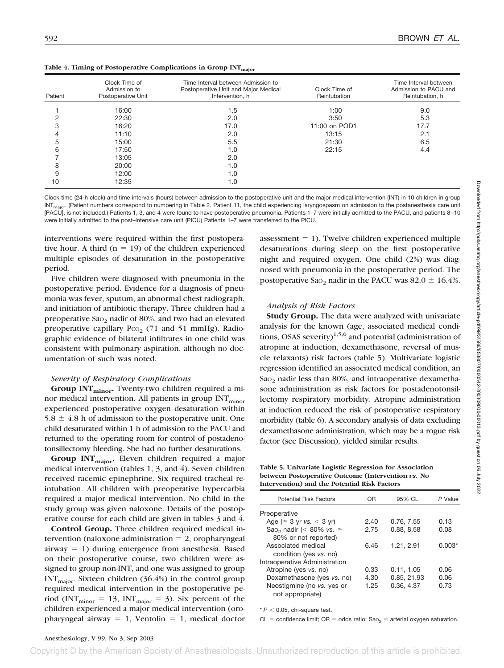|  |  | Table 4. Timing of Postoperative Complications in Group INT <sub>major</sub> |  |  |  |  |
|--|--|------------------------------------------------------------------------------|--|--|--|--|
|--|--|------------------------------------------------------------------------------|--|--|--|--|

| Patient | Clock Time of<br>Admission to<br>Postoperative Unit | Time Interval between Admission to<br>Postoperative Unit and Major Medical<br>Intervention, h | Clock Time of<br>Reintubation | Time Interval between<br>Admission to PACU and<br>Reintubation, h |
|---------|-----------------------------------------------------|-----------------------------------------------------------------------------------------------|-------------------------------|-------------------------------------------------------------------|
|         | 16:00                                               | 1.5                                                                                           | 1:00                          | 9.0                                                               |
| ∩       | 22:30                                               | 2.0                                                                                           | 3:50                          | 5.3                                                               |
| 3       | 16:20                                               | 17.0                                                                                          | 11:00 on POD1                 | 17.7                                                              |
|         | 11:10                                               | 2.0                                                                                           | 13:15                         | 2.1                                                               |
|         | 15:00                                               | 5.5                                                                                           | 21:30                         | 6.5                                                               |
| 6       | 17:50                                               | 1.0                                                                                           | 22:15                         | 4.4                                                               |
|         | 13:05                                               | 2.0                                                                                           |                               |                                                                   |
| 8       | 20:00                                               | 1.0                                                                                           |                               |                                                                   |
| 9       | 12:00                                               | 1.0                                                                                           |                               |                                                                   |
| 10      | 12:35                                               | 1.0                                                                                           |                               |                                                                   |

Clock time (24-h clock) and time intervals (hours) between admission to the postoperative unit and the major medical intervention (INT) in 10 children in group INT<sub>maior</sub>. (Patient numbers correspond to numbering in Table 2. Patient 11, the child experiencing laryngospasm on admission to the postanesthesia care unit [PACU], is not included.) Patients 1, 3, and 4 were found to have postoperative pneumonia. Patients 1–7 were initially admitted to the PACU, and patients 8–10 were initially admitted to the post–intensive care unit (PICU) Patients 1–7 were transferred to the PICU.

interventions were required within the first postoperative hour. A third ( $n = 19$ ) of the children experienced multiple episodes of desaturation in the postoperative period.

Five children were diagnosed with pneumonia in the postoperative period. Evidence for a diagnosis of pneumonia was fever, sputum, an abnormal chest radiograph, and initiation of antibiotic therapy. Three children had a preoperative Sao<sub>2</sub> nadir of 80%, and two had an elevated preoperative capillary  $P_{CO_2}$  (71 and 51 mmHg). Radiographic evidence of bilateral infiltrates in one child was consistent with pulmonary aspiration, although no documentation of such was noted.

#### *Severity of Respiratory Complications*

**Group INT**<sub>minor</sub>. Twenty-two children required a minor medical intervention. All patients in group  $INT_{minor}$ experienced postoperative oxygen desaturation within  $5.8 \pm 4.8$  h of admission to the postoperative unit. One child desaturated within 1 h of admission to the PACU and returned to the operating room for control of postadenotonsillectomy bleeding. She had no further desaturations.

Group INT<sub>major</sub>. Eleven children required a major medical intervention (tables 1, 3, and 4). Seven children received racemic epinephrine. Six required tracheal reintubation. All children with preoperative hypercarbia required a major medical intervention. No child in the study group was given naloxone. Details of the postoperative course for each child are given in tables 3 and 4.

**Control Group.** Three children required medical intervention (naloxone administration  $= 2$ , oropharyngeal  $airway = 1$ ) during emergence from anesthesia. Based on their postoperative course, two children were assigned to group non-INT, and one was assigned to group  $INT<sub>major</sub>$ . Sixteen children (36.4%) in the control group required medical intervention in the postoperative period (INT<sub>minor</sub> = 13, INT<sub>major</sub> = 3). Six percent of the children experienced a major medical intervention (oropharyngeal airway  $= 1$ , Ventolin  $= 1$ , medical doctor  $assessment = 1$ ). Twelve children experienced multiple desaturations during sleep on the first postoperative night and required oxygen. One child (2%) was diagnosed with pneumonia in the postoperative period. The postoperative Sao<sub>2</sub> nadir in the PACU was 82.0  $\pm$  16.4%.

#### *Analysis of Risk Factors*

**Study Group.** The data were analyzed with univariate analysis for the known (age, associated medical conditions, OSAS severity)<sup>1,5,6</sup> and potential (administration of atropine at induction, dexamethasone, reversal of muscle relaxants) risk factors (table 5). Multivariate logistic regression identified an associated medical condition, an  $Sao<sub>2</sub>$  nadir less than 80%, and intraoperative dexamethasone administration as risk factors for postadenotonsillectomy respiratory morbidity. Atropine administration at induction reduced the risk of postoperative respiratory morbidity (table 6). A secondary analysis of data excluding dexamethasone administration, which may be a rogue risk factor (see Discussion), yielded similar results.

| Table 5. Univariate Logistic Regression for Association |  |
|---------------------------------------------------------|--|
| between Postoperative Outcome (Intervention vs. No      |  |
| Intervention) and the Potential Risk Factors            |  |

| <b>Potential Risk Factors</b>           | ΟR   | 95% CL      | P Value  |
|-----------------------------------------|------|-------------|----------|
| Preoperative                            |      |             |          |
| Age ( $\geq$ 3 yr vs. $<$ 3 yr)         | 2.40 | 0.76, 7.55  | 0.13     |
| Sao <sub>2</sub> nadir (< 80% vs. $\ge$ | 2.75 | 0.88, 8.58  | 0.08     |
| 80% or not reported)                    |      |             |          |
| Associated medical                      | 6.46 | 1.21, 2.91  | $0.003*$ |
| condition (yes vs. no)                  |      |             |          |
| Intraoperative Administration           |      |             |          |
| Atropine (yes vs. no)                   | 0.33 | 0.11, 1.05  | 0.06     |
| Dexamethasone (yes vs. no)              | 4.30 | 0.85, 21.93 | 0.06     |
| Neostigmine (no vs. yes or              | 1.25 | 0.36, 4.37  | 0.73     |
| not appropriate)                        |      |             |          |
|                                         |      |             |          |

 $* P < 0.05$ , chi-square test.

 $CL =$  confidence limit; OR = odds ratio; Sao<sub>2</sub> = arterial oxygen saturation.

Downloaded from http://pubs.asahq.org/anesthesiology/article-pdf/99/3/586/653807/0000542-200309000-00013.pdf by guest on 06 July 2022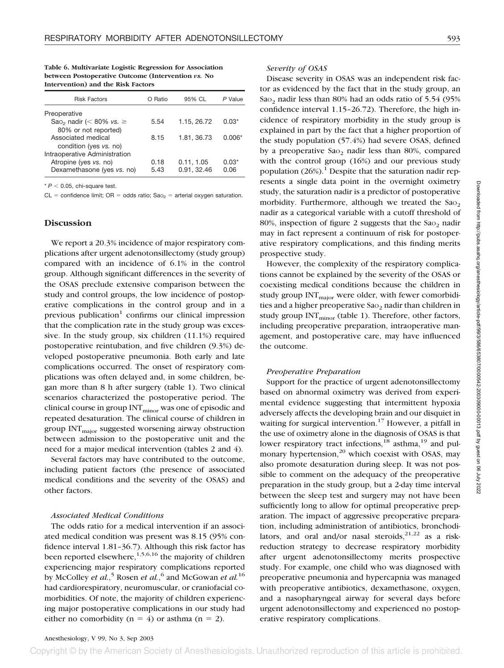| Table 6. Multivariate Logistic Regression for Association |
|-----------------------------------------------------------|
| between Postoperative Outcome (Intervention vs. No        |
| Intervention) and the Risk Factors                        |

| <b>Risk Factors</b>                     | O Ratio | 95% CL      | P Value  |
|-----------------------------------------|---------|-------------|----------|
| Preoperative                            |         |             |          |
| Sao <sub>2</sub> nadir (< 80% vs. $\ge$ | 5.54    | 1.15, 26.72 | $0.03*$  |
| 80% or not reported)                    |         |             |          |
| Associated medical                      | 8.15    | 1.81, 36.73 | $0.006*$ |
| condition (yes vs. no)                  |         |             |          |
| Intraoperative Administration           |         |             |          |
| Atropine (yes vs. no)                   | 0.18    | 0.11, 1.05  | $0.03*$  |
| Dexamethasone (yes vs. no)              | 5.43    | 0.91, 32.46 | 0.06     |

 $* P < 0.05$ , chi-square test.

 $CL =$  confidence limit; OR = odds ratio; Sao<sub>2</sub> = arterial oxygen saturation.

# **Discussion**

We report a 20.3% incidence of major respiratory complications after urgent adenotonsillectomy (study group) compared with an incidence of 6.1% in the control group. Although significant differences in the severity of the OSAS preclude extensive comparison between the study and control groups, the low incidence of postoperative complications in the control group and in a previous publication<sup>1</sup> confirms our clinical impression that the complication rate in the study group was excessive. In the study group, six children (11.1%) required postoperative reintubation, and five children (9.3%) developed postoperative pneumonia. Both early and late complications occurred. The onset of respiratory complications was often delayed and, in some children, began more than 8 h after surgery (table 1). Two clinical scenarios characterized the postoperative period. The clinical course in group INT<sub>minor</sub> was one of episodic and repeated desaturation. The clinical course of children in group  $INT_{major}$  suggested worsening airway obstruction between admission to the postoperative unit and the need for a major medical intervention (tables 2 and 4).

Several factors may have contributed to the outcome, including patient factors (the presence of associated medical conditions and the severity of the OSAS) and other factors.

#### *Associated Medical Conditions*

The odds ratio for a medical intervention if an associated medical condition was present was 8.15 (95% confidence interval 1.81–36.7). Although this risk factor has been reported elsewhere,  $1,5,6,16$  the majority of children experiencing major respiratory complications reported by McColley *et al.*, <sup>5</sup> Rosen *et al.*, <sup>6</sup> and McGowan *et al.*<sup>16</sup> had cardiorespiratory, neuromuscular, or craniofacial comorbidities. Of note, the majority of children experiencing major postoperative complications in our study had either no comorbidity ( $n = 4$ ) or asthma ( $n = 2$ ).

## *Severity of OSAS*

Disease severity in OSAS was an independent risk factor as evidenced by the fact that in the study group, an Sao<sub>2</sub> nadir less than 80% had an odds ratio of 5.54 (95%) confidence interval 1.15–26.72). Therefore, the high incidence of respiratory morbidity in the study group is explained in part by the fact that a higher proportion of the study population (57.4%) had severe OSAS, defined by a preoperative  $Sao<sub>2</sub>$  nadir less than 80%, compared with the control group (16%) and our previous study population  $(26%)$ <sup>1</sup>. Despite that the saturation nadir represents a single data point in the overnight oximetry study, the saturation nadir is a predictor of postoperative morbidity. Furthermore, although we treated the  $Sao<sub>2</sub>$ nadir as a categorical variable with a cutoff threshold of 80%, inspection of figure 2 suggests that the  $Sao<sub>2</sub>$  nadir may in fact represent a continuum of risk for postoperative respiratory complications, and this finding merits prospective study.

However, the complexity of the respiratory complications cannot be explained by the severity of the OSAS or coexisting medical conditions because the children in study group  $INT_{major}$  were older, with fewer comorbidities and a higher preoperative Sao<sub>2</sub> nadir than children in study group  $INT<sub>minor</sub>$  (table 1). Therefore, other factors, including preoperative preparation, intraoperative management, and postoperative care, may have influenced the outcome.

# *Preoperative Preparation*

Support for the practice of urgent adenotonsillectomy based on abnormal oximetry was derived from experimental evidence suggesting that intermittent hypoxia adversely affects the developing brain and our disquiet in waiting for surgical intervention.<sup>17</sup> However, a pitfall in the use of oximetry alone in the diagnosis of OSAS is that lower respiratory tract infections, $^{18}$  asthma, $^{19}$  and pulmonary hypertension,<sup>20</sup> which coexist with OSAS, may also promote desaturation during sleep. It was not possible to comment on the adequacy of the preoperative preparation in the study group, but a 2-day time interval between the sleep test and surgery may not have been sufficiently long to allow for optimal preoperative preparation. The impact of aggressive preoperative preparation, including administration of antibiotics, bronchodilators, and oral and/or nasal steroids,  $2^{1,22}$  as a riskreduction strategy to decrease respiratory morbidity after urgent adenotonsillectomy merits prospective study. For example, one child who was diagnosed with preoperative pneumonia and hypercapnia was managed with preoperative antibiotics, dexamethasone, oxygen, and a nasopharyngeal airway for several days before urgent adenotonsillectomy and experienced no postoperative respiratory complications.

# Anesthesiology, V 99, No 3, Sep 2003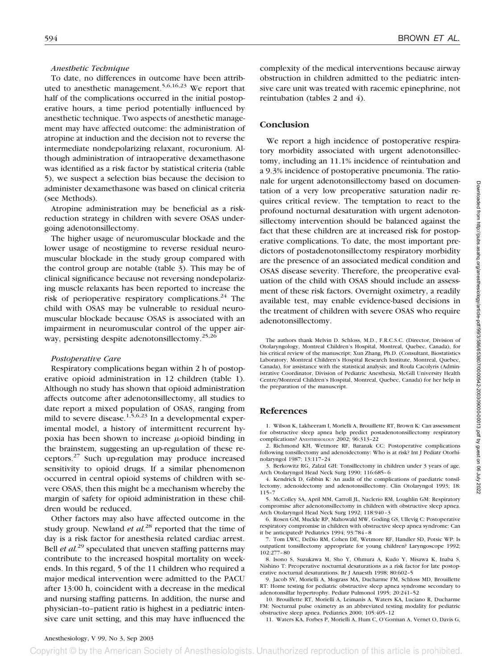To date, no differences in outcome have been attributed to anesthetic management.<sup>5,6,16,23</sup> We report that half of the complications occurred in the initial postoperative hours, a time period potentially influenced by anesthetic technique. Two aspects of anesthetic management may have affected outcome: the administration of atropine at induction and the decision not to reverse the intermediate nondepolarizing relaxant, rocuronium. Although administration of intraoperative dexamethasone was identified as a risk factor by statistical criteria (table 5), we suspect a selection bias because the decision to administer dexamethasone was based on clinical criteria (see Methods).

Atropine administration may be beneficial as a riskreduction strategy in children with severe OSAS undergoing adenotonsillectomy.

The higher usage of neuromuscular blockade and the lower usage of neostigmine to reverse residual neuromuscular blockade in the study group compared with the control group are notable (table 3). This may be of clinical significance because not reversing nondepolarizing muscle relaxants has been reported to increase the risk of perioperative respiratory complications. $^{24}$  The child with OSAS may be vulnerable to residual neuromuscular blockade because OSAS is associated with an impairment in neuromuscular control of the upper airway, persisting despite adenotonsillectomy.25,26

#### *Postoperative Care*

Respiratory complications began within 2 h of postoperative opioid administration in 12 children (table 1). Although no study has shown that opioid administration affects outcome after adenotonsillectomy, all studies to date report a mixed population of OSAS, ranging from mild to severe disease.<sup>1,5,6,23</sup> In a developmental experimental model, a history of intermittent recurrent hypoxia has been shown to increase  $\mu$ -opioid binding in the brainstem, suggesting an up-regulation of these receptors.27 Such up-regulation may produce increased sensitivity to opioid drugs. If a similar phenomenon occurred in central opioid systems of children with severe OSAS, then this might be a mechanism whereby the margin of safety for opioid administration in these children would be reduced.

Other factors may also have affected outcome in the study group. Newland *et al.*<sup>28</sup> reported that the time of day is a risk factor for anesthesia related cardiac arrest. Bell *et al.*<sup>29</sup> speculated that uneven staffing patterns may contribute to the increased hospital mortality on weekends. In this regard, 5 of the 11 children who required a major medical intervention were admitted to the PACU after 13:00 h, coincident with a decrease in the medical and nursing staffing patterns. In addition, the nurse and physician–to–patient ratio is highest in a pediatric intensive care unit setting, and this may have influenced the

complexity of the medical interventions because airway obstruction in children admitted to the pediatric intensive care unit was treated with racemic epinephrine, not reintubation (tables 2 and 4).

## **Conclusion**

We report a high incidence of postoperative respiratory morbidity associated with urgent adenotonsillectomy, including an 11.1% incidence of reintubation and a 9.3% incidence of postoperative pneumonia. The rationale for urgent adenotonsillectomy based on documentation of a very low preoperative saturation nadir requires critical review. The temptation to react to the profound nocturnal desaturation with urgent adenotonsillectomy intervention should be balanced against the fact that these children are at increased risk for postoperative complications. To date, the most important predictors of postadenotonsillectomy respiratory morbidity are the presence of an associated medical condition and OSAS disease severity. Therefore, the preoperative evaluation of the child with OSAS should include an assessment of these risk factors. Overnight oximetry, a readily available test, may enable evidence-based decisions in the treatment of children with severe OSAS who require adenotonsillectomy.

The authors thank Melvin D. Schloss, M.D., F.R.C.S.C. (Director, Division of Otolaryngology, Montreal Children's Hospital, Montreal, Quebec, Canada), for his critical review of the manuscript; Xun Zhang, Ph.D. (Consultant, Biostatistics Laboratory, Montreal Children's Hospital Research Institute, Montreal, Quebec, Canada), for assistance with the statistical analysis; and Roula Cacolyris (Administrative Coordinator, Division of Pediatric Anesthesia, McGill University Health Centre/Montreal Children's Hospital, Montreal, Quebec, Canada) for her help in the preparation of the manuscript.

#### **References**

1. Wilson K, Lakheeram I, Morielli A, Brouillette RT, Brown K: Can assessment for obstructive sleep apnea help predict postadenotonsillectomy respiratory complications? ANESTHESIOLOGY 2002; 96:313–22

2. Richmond KH, Wetmore RF, Baranak CC: Postoperative complications following tonsillectomy and adenoidectomy: Who is at risk? Int J Pediatr Otorhinolaryngol 1987; 13:117–24

3. Berkowitz RG, Zalzal GH: Tonsillectomy in children under 3 years of age. Arch Otolaryngol Head Neck Surg 1990; 116:685–6

4. Kendrick D, Gibbin K: An audit of the complications of paediatric tonsillectomy, adenoidectomy and adenotonsillectomy. Clin Otolaryngol 1993; 18: 115–7

5. McColley SA, April MM, Carroll JL, Naclerio RM, Loughlin GM: Respiratory compromise after adenotonsillectomy in children with obstructive sleep apnea. Arch Otolaryngol Head Neck Surg 1992; 118:940–3

6. Rosen GM, Muckle RP, Mahowald MW, Goding GS, Ullevig C: Postoperative respiratory compromise in children with obstructive sleep apnea syndrome: Can it be anticipated? Pediatrics 1994; 93:784–8

7. Tom LWC, DeDio RM, Cohen DE, Wetmore RF, Handler SD, Potsic WP: Is outpatient tonsillectomy appropriate for young children? Laryngoscope 1992; 102:277–80

8. Isono S, Suzukawa M, Sho Y, Ohmura A, Kudo Y, Misawa K, Inaba S, Nishino T: Preoperative nocturnal desaturations as a risk factor for late postoperative nocturnal desaturations. Br J Anaesth 1998; 80:602–5

9. Jacob SV, Morielli A, Mograss MA, Ducharme FM, Schloss MD, Brouillette RT: Home testing for pediatric obstructive sleep apnea syndrome secondary to adenotonsillar hypertrophy. Pediatr Pulmonol 1995; 20:241–52

10. Brouillette RT, Morielli A, Leimanis A, Waters KA, Luciano R, Ducharme FM: Nocturnal pulse oximetry as an abbreviated testing modality for pediatric obstructive sleep apnea. Pediatrics 2000; 105:405–12

11. Waters KA, Forbes P, Morielli A, Hum C, O'Gorman A, Vernet O, Davis G,